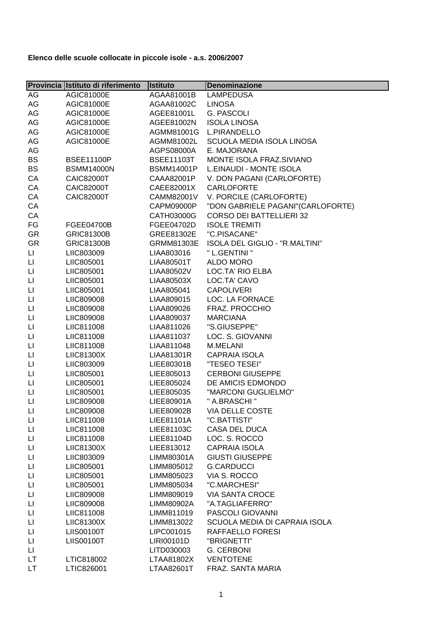|                        | Provincia Istituto di riferimento | <b>Istituto</b>   | Denominazione                     |
|------------------------|-----------------------------------|-------------------|-----------------------------------|
| AG                     | AGIC81000E                        | AGAA81001B        | <b>LAMPEDUSA</b>                  |
| AG                     | AGIC81000E                        | AGAA81002C        | <b>LINOSA</b>                     |
| AG                     | AGIC81000E                        | AGEE81001L        | <b>G. PASCOLI</b>                 |
| AG                     | AGIC81000E                        | AGEE81002N        | <b>ISOLA LINOSA</b>               |
| AG                     | AGIC81000E                        | AGMM81001G        | L.PIRANDELLO                      |
| AG                     | AGIC81000E                        | AGMM81002L        | <b>SCUOLA MEDIA ISOLA LINOSA</b>  |
| AG                     |                                   | AGPS08000A        | E. MAJORANA                       |
| <b>BS</b>              | <b>BSEE11100P</b>                 | <b>BSEE11103T</b> | MONTE ISOLA FRAZ.SIVIANO          |
| BS                     | <b>BSMM14000N</b>                 | <b>BSMM14001P</b> | L.EINAUDI - MONTE ISOLA           |
| CA                     | CAIC82000T                        | CAAA82001P        | V. DON PAGANI (CARLOFORTE)        |
| CA                     | CAIC82000T                        | CAEE82001X        | <b>CARLOFORTE</b>                 |
| CA                     | CAIC82000T                        | CAMM82001V        | V. PORCILE (CARLOFORTE)           |
| CA                     |                                   | CAPM09000P        | "DON GABRIELE PAGANI"(CARLOFORTE) |
| CA                     |                                   | CATH03000G        | <b>CORSO DEI BATTELLIERI 32</b>   |
| FG                     | <b>FGEE04700B</b>                 | FGEE04702D        | <b>ISOLE TREMITI</b>              |
| GR                     | <b>GRIC81300B</b>                 | GREE81302E        | "C.PISACANE"                      |
| GR                     | <b>GRIC81300B</b>                 | GRMM81303E        | ISOLA DEL GIGLIO - "R.MALTINI"    |
| П                      | LIIC803009                        | LIAA803016        | " L.GENTINI "                     |
| Ц                      | LIIC805001                        | LIAA80501T        | <b>ALDO MORO</b>                  |
| $\mathsf{L}\mathsf{I}$ | LIIC805001                        | LIAA80502V        | LOC.TA' RIO ELBA                  |
| П                      | LIIC805001                        | LIAA80503X        | LOC.TA' CAVO                      |
| Ц                      | LIIC805001                        | LIAA805041        | <b>CAPOLIVERI</b>                 |
| П                      | LIIC809008                        | LIAA809015        | LOC. LA FORNACE                   |
| П                      | LIIC809008                        | LIAA809026        | FRAZ. PROCCHIO                    |
| П                      | LIIC809008                        | LIAA809037        | <b>MARCIANA</b>                   |
| П                      | LIIC811008                        | LIAA811026        | "S.GIUSEPPE"                      |
| $\mathsf{L}\mathsf{I}$ | LIIC811008                        | LIAA811037        | LOC. S. GIOVANNI                  |
| П                      | LIIC811008                        | LIAA811048        | M.MELANI                          |
| Ц                      | LIIC81300X                        | LIAA81301R        | <b>CAPRAIA ISOLA</b>              |
| П                      | LIIC803009                        | LIEE80301B        | "TESEO TESEI"                     |
| П                      | LIIC805001                        | LIEE805013        | <b>CERBONI GIUSEPPE</b>           |
| П                      | LIIC805001                        | LIEE805024        | DE AMICIS EDMONDO                 |
| П                      | LIIC805001                        | LIEE805035        | "MARCONI GUGLIELMO"               |
| П                      | LIIC809008                        | LIEE80901A        | " A.BRASCHI "                     |
| LI                     | LIIC809008                        | LIEE80902B        | <b>VIA DELLE COSTE</b>            |
| П                      | LIIC811008                        | LIEE81101A        | "C.BATTISTI"                      |
| П                      | LIIC811008                        | LIEE81103C        | CASA DEL DUCA                     |
| $\sqcup$               | LIIC811008                        | LIEE81104D        | LOC. S. ROCCO                     |
| $\sqcup$               | LIIC81300X                        | LIEE813012        | <b>CAPRAIA ISOLA</b>              |
| $\sqcup$               | LIIC803009                        | LIMM80301A        | <b>GIUSTI GIUSEPPE</b>            |
| LI                     | LIIC805001                        | LIMM805012        | <b>G.CARDUCCI</b>                 |
| П                      | LIIC805001                        | LIMM805023        | VIA S. ROCCO                      |
| П                      | LIIC805001                        | LIMM805034        | "C.MARCHESI"                      |
| П                      | LIIC809008                        | LIMM809019        | <b>VIA SANTA CROCE</b>            |
| П                      | LIIC809008                        | LIMM80902A        | "A.TAGLIAFERRO"                   |
| $\sqcup$               | LIIC811008                        | LIMM811019        | PASCOLI GIOVANNI                  |
| LI                     | LIIC81300X                        | LIMM813022        | SCUOLA MEDIA DI CAPRAIA ISOLA     |
| LI                     | <b>LIIS00100T</b>                 | LIPC001015        | RAFFAELLO FORESI                  |
| П                      | <b>LIIS00100T</b>                 | LIRI00101D        | "BRIGNETTI"                       |
| П                      |                                   | LITD030003        | G. CERBONI                        |
| LT.                    | LTIC818002                        | LTAA81802X        | <b>VENTOTENE</b>                  |
| LT.                    | LTIC826001                        | LTAA82601T        | FRAZ. SANTA MARIA                 |
|                        |                                   |                   |                                   |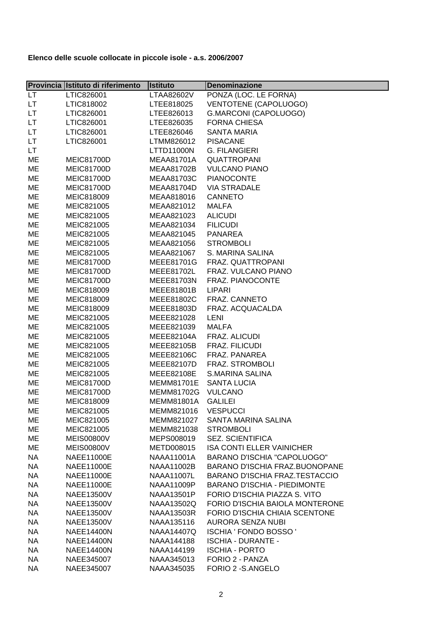|           | Provincia Istituto di riferimento | <b>Istituto</b>     | <b>Denominazione</b>                  |
|-----------|-----------------------------------|---------------------|---------------------------------------|
| <b>LT</b> | LTIC826001                        | LTAA82602V          | PONZA (LOC. LE FORNA)                 |
| LT.       | LTIC818002                        | LTEE818025          | VENTOTENE (CAPOLUOGO)                 |
| LT.       | LTIC826001                        | LTEE826013          | G.MARCONI (CAPOLUOGO)                 |
| LT.       | LTIC826001                        | LTEE826035          | <b>FORNA CHIESA</b>                   |
| LT.       | LTIC826001                        | LTEE826046          | <b>SANTA MARIA</b>                    |
| LT.       | LTIC826001                        | LTMM826012          | <b>PISACANE</b>                       |
| LT        |                                   | LTTD11000N          | <b>G. FILANGIERI</b>                  |
| ME        | <b>MEIC81700D</b>                 | <b>MEAA81701A</b>   | <b>QUATTROPANI</b>                    |
| ME        | <b>MEIC81700D</b>                 | <b>MEAA81702B</b>   | <b>VULCANO PIANO</b>                  |
| ME        | <b>MEIC81700D</b>                 | <b>MEAA81703C</b>   | <b>PIANOCONTE</b>                     |
| ME        | <b>MEIC81700D</b>                 | MEAA81704D          | <b>VIA STRADALE</b>                   |
| ME        | MEIC818009                        | MEAA818016          | <b>CANNETO</b>                        |
| ME        | MEIC821005                        | MEAA821012          | <b>MALFA</b>                          |
| ME        | MEIC821005                        | MEAA821023          | <b>ALICUDI</b>                        |
| ME        | MEIC821005                        | MEAA821034          | <b>FILICUDI</b>                       |
| ME        | MEIC821005                        | MEAA821045          | <b>PANAREA</b>                        |
| ME        | MEIC821005                        | MEAA821056          | <b>STROMBOLI</b>                      |
| ME        | MEIC821005                        | MEAA821067          | S. MARINA SALINA                      |
| ME        | <b>MEIC81700D</b>                 | MEEE81701G          | FRAZ. QUATTROPANI                     |
| ME        | <b>MEIC81700D</b>                 | MEEE81702L          | FRAZ. VULCANO PIANO                   |
| ME        | <b>MEIC81700D</b>                 | <b>MEEE81703N</b>   | FRAZ. PIANOCONTE                      |
| ME        | MEIC818009                        | MEEE81801B          | <b>LIPARI</b>                         |
| ME        | MEIC818009                        | MEEE81802C          | FRAZ. CANNETO                         |
| ME        | MEIC818009                        | MEEE81803D          | FRAZ. ACQUACALDA                      |
| ME        | MEIC821005                        | MEEE821028          | <b>LENI</b>                           |
| ME        | MEIC821005                        | MEEE821039          | <b>MALFA</b>                          |
| ME        | MEIC821005                        | MEEE82104A          | FRAZ. ALICUDI                         |
| ME        | MEIC821005                        | MEEE82105B          | FRAZ. FILICUDI                        |
| ME        | MEIC821005                        | MEEE82106C          | FRAZ. PANAREA                         |
| ME        | MEIC821005                        | MEEE82107D          | FRAZ. STROMBOLI                       |
| ME        | MEIC821005                        | MEEE82108E          | S.MARINA SALINA                       |
| ME        | <b>MEIC81700D</b>                 | <b>MEMM81701E</b>   | <b>SANTA LUCIA</b>                    |
| ME        | <b>MEIC81700D</b>                 | MEMM81702G          | <b>VULCANO</b>                        |
| ME        | MEIC818009                        | <b>MEMM81801A</b>   | <b>GALILEI</b>                        |
| ME        | MEIC821005                        | MEMM821016 VESPUCCI |                                       |
| ME        | MEIC821005                        | MEMM821027          | SANTA MARINA SALINA                   |
| ME        | MEIC821005                        | MEMM821038          | <b>STROMBOLI</b>                      |
| ME        | <b>MEIS00800V</b>                 | MEPS008019          | <b>SEZ. SCIENTIFICA</b>               |
| ME        | <b>MEIS00800V</b>                 | METD008015          | <b>ISA CONTI ELLER VAINICHER</b>      |
| <b>NA</b> | <b>NAEE11000E</b>                 | NAAA11001A          | BARANO D'ISCHIA "CAPOLUOGO"           |
| <b>NA</b> | <b>NAEE11000E</b>                 | <b>NAAA11002B</b>   | BARANO D'ISCHIA FRAZ.BUONOPANE        |
| <b>NA</b> | <b>NAEE11000E</b>                 | <b>NAAA11007L</b>   | <b>BARANO D'ISCHIA FRAZ.TESTACCIO</b> |
| <b>NA</b> | <b>NAEE11000E</b>                 | NAAA11009P          | <b>BARANO D'ISCHIA - PIEDIMONTE</b>   |
| <b>NA</b> | <b>NAEE13500V</b>                 | <b>NAAA13501P</b>   | FORIO D'ISCHIA PIAZZA S. VITO         |
| <b>NA</b> | <b>NAEE13500V</b>                 | <b>NAAA13502Q</b>   | FORIO D'ISCHIA BAIOLA MONTERONE       |
| <b>NA</b> | <b>NAEE13500V</b>                 | <b>NAAA13503R</b>   | FORIO D'ISCHIA CHIAIA SCENTONE        |
| <b>NA</b> | <b>NAEE13500V</b>                 | NAAA135116          | <b>AURORA SENZA NUBI</b>              |
| <b>NA</b> | <b>NAEE14400N</b>                 | <b>NAAA14407Q</b>   | ISCHIA ' FONDO BOSSO '                |
| <b>NA</b> | <b>NAEE14400N</b>                 | NAAA144188          | <b>ISCHIA - DURANTE -</b>             |
| <b>NA</b> | <b>NAEE14400N</b>                 | NAAA144199          | <b>ISCHIA - PORTO</b>                 |
| <b>NA</b> | NAEE345007                        | NAAA345013          | FORIO 2 - PANZA                       |
| <b>NA</b> | NAEE345007                        | NAAA345035          | FORIO 2 - S.ANGELO                    |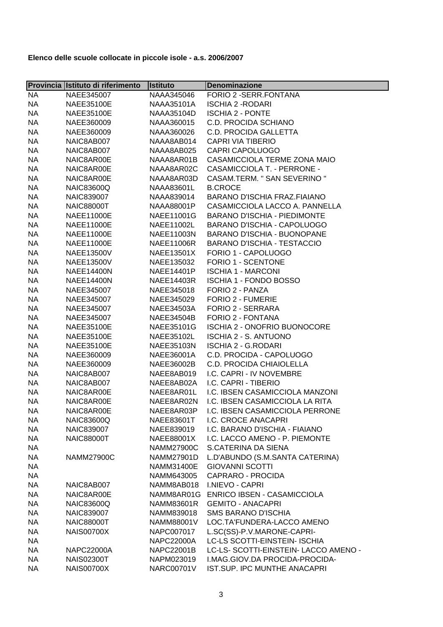|           | Provincia Istituto di riferimento | <b>Istituto</b>   | Denominazione                              |
|-----------|-----------------------------------|-------------------|--------------------------------------------|
| <b>NA</b> | NAEE345007                        | NAAA345046        | FORIO 2 - SERR. FONTANA                    |
| <b>NA</b> | <b>NAEE35100E</b>                 | NAAA35101A        | <b>ISCHIA 2 - RODARI</b>                   |
| <b>NA</b> | <b>NAEE35100E</b>                 | <b>NAAA35104D</b> | <b>ISCHIA 2 - PONTE</b>                    |
| <b>NA</b> | NAEE360009                        | NAAA360015        | <b>C.D. PROCIDA SCHIANO</b>                |
| <b>NA</b> | NAEE360009                        | NAAA360026        | <b>C.D. PROCIDA GALLETTA</b>               |
| <b>NA</b> | NAIC8AB007                        | NAAA8AB014        | <b>CAPRI VIA TIBERIO</b>                   |
| <b>NA</b> | NAIC8AB007                        | NAAA8AB025        | <b>CAPRI CAPOLUOGO</b>                     |
| <b>NA</b> | NAIC8AR00E                        | NAAA8AR01B        | CASAMICCIOLA TERME ZONA MAIO               |
| <b>NA</b> | NAIC8AR00E                        | NAAA8AR02C        | <b>CASAMICCIOLA T. - PERRONE -</b>         |
| <b>NA</b> | NAIC8AR00E                        | NAAA8AR03D        | CASAM.TERM. " SAN SEVERINO "               |
| <b>NA</b> | <b>NAIC83600Q</b>                 | <b>NAAA83601L</b> | <b>B.CROCE</b>                             |
| <b>NA</b> | <b>NAIC839007</b>                 | NAAA839014        | BARANO D'ISCHIA FRAZ.FIAIANO               |
| <b>NA</b> | <b>NAIC88000T</b>                 | <b>NAAA88001P</b> | CASAMICCIOLA LACCO A. PANNELLA             |
| <b>NA</b> | <b>NAEE11000E</b>                 | NAEE11001G        | <b>BARANO D'ISCHIA - PIEDIMONTE</b>        |
| <b>NA</b> | <b>NAEE11000E</b>                 | NAEE11002L        | BARANO D'ISCHIA - CAPOLUOGO                |
| <b>NA</b> | <b>NAEE11000E</b>                 | NAEE11003N        | BARANO D'ISCHIA - BUONOPANE                |
| <b>NA</b> | <b>NAEE11000E</b>                 | <b>NAEE11006R</b> | <b>BARANO D'ISCHIA - TESTACCIO</b>         |
| <b>NA</b> | <b>NAEE13500V</b>                 | NAEE13501X        | FORIO 1 - CAPOLUOGO                        |
| <b>NA</b> | <b>NAEE13500V</b>                 | NAEE135032        | FORIO 1 - SCENTONE                         |
| <b>NA</b> | <b>NAEE14400N</b>                 | NAEE14401P        | <b>ISCHIA 1 - MARCONI</b>                  |
| <b>NA</b> | <b>NAEE14400N</b>                 | NAEE14403R        | <b>ISCHIA 1 - FONDO BOSSO</b>              |
| <b>NA</b> | NAEE345007                        | NAEE345018        | FORIO 2 - PANZA                            |
| <b>NA</b> | NAEE345007                        | NAEE345029        | FORIO 2 - FUMERIE                          |
| <b>NA</b> | NAEE345007                        | <b>NAEE34503A</b> | FORIO 2 - SERRARA                          |
| <b>NA</b> | NAEE345007                        | <b>NAEE34504B</b> | FORIO 2 - FONTANA                          |
| <b>NA</b> | <b>NAEE35100E</b>                 | NAEE35101G        | <b>ISCHIA 2 - ONOFRIO BUONOCORE</b>        |
| <b>NA</b> | <b>NAEE35100E</b>                 | NAEE35102L        | <b>ISCHIA 2 - S. ANTUONO</b>               |
| <b>NA</b> | <b>NAEE35100E</b>                 | <b>NAEE35103N</b> | <b>ISCHIA 2 - G.RODARI</b>                 |
| <b>NA</b> | NAEE360009                        | NAEE36001A        | C.D. PROCIDA - CAPOLUOGO                   |
| <b>NA</b> | NAEE360009                        | NAEE36002B        | C.D. PROCIDA CHIAIOLELLA                   |
| <b>NA</b> | NAIC8AB007                        | NAEE8AB019        | I.C. CAPRI - IV NOVEMBRE                   |
| <b>NA</b> | NAIC8AB007                        | NAEE8AB02A        | I.C. CAPRI - TIBERIO                       |
| <b>NA</b> | NAIC8AR00E                        | NAEE8AR01L        | I.C. IBSEN CASAMICCIOLA MANZONI            |
| <b>NA</b> | NAIC8AR00E                        | NAEE8AR02N        | I.C. IBSEN CASAMICCIOLA LA RITA            |
| <b>NA</b> | NAIC8AR00E                        |                   | NAEE8AR03P I.C. IBSEN CASAMICCIOLA PERRONE |
| NA.       | <b>NAIC83600Q</b>                 | NAEE83601T        | I.C. CROCE ANACAPRI                        |
| <b>NA</b> | NAIC839007                        | NAEE839019        | I.C. BARANO D'ISCHIA - FIAIANO             |
| <b>NA</b> | <b>NAIC88000T</b>                 | NAEE88001X        | I.C. LACCO AMENO - P. PIEMONTE             |
| <b>NA</b> |                                   | <b>NAMM27900C</b> | S.CATERINA DA SIENA                        |
| <b>NA</b> | <b>NAMM27900C</b>                 | NAMM27901D        | L.D'ABUNDO (S.M.SANTA CATERINA)            |
|           |                                   | <b>NAMM31400E</b> | <b>GIOVANNI SCOTTI</b>                     |
| <b>NA</b> |                                   | NAMM643005        | <b>CAPRARO - PROCIDA</b>                   |
| <b>NA</b> |                                   | NAMM8AB018        | I.NIEVO - CAPRI                            |
| <b>NA</b> | NAIC8AB007                        |                   |                                            |
| <b>NA</b> | NAIC8AR00E                        | NAMM8AR01G        | <b>ENRICO IBSEN - CASAMICCIOLA</b>         |
| <b>NA</b> | <b>NAIC83600Q</b>                 | <b>NAMM83601R</b> | <b>GEMITO - ANACAPRI</b>                   |
| <b>NA</b> | NAIC839007                        | NAMM839018        | <b>SMS BARANO D'ISCHIA</b>                 |
| <b>NA</b> | <b>NAIC88000T</b>                 | NAMM88001V        | LOC.TA'FUNDERA-LACCO AMENO                 |
| <b>NA</b> | <b>NAIS00700X</b>                 | NAPC007017        | L.SC(SS)-P.V.MARONE-CAPRI-                 |
| <b>NA</b> |                                   | <b>NAPC22000A</b> | LC-LS SCOTTI-EINSTEIN- ISCHIA              |
| <b>NA</b> | <b>NAPC22000A</b>                 | <b>NAPC22001B</b> | LC-LS- SCOTTI-EINSTEIN- LACCO AMENO -      |
| <b>NA</b> | <b>NAIS02300T</b>                 | NAPM023019        | I.MAG.GIOV.DA PROCIDA-PROCIDA-             |
| <b>NA</b> | <b>NAIS00700X</b>                 | <b>NARC00701V</b> | IST.SUP. IPC MUNTHE ANACAPRI               |